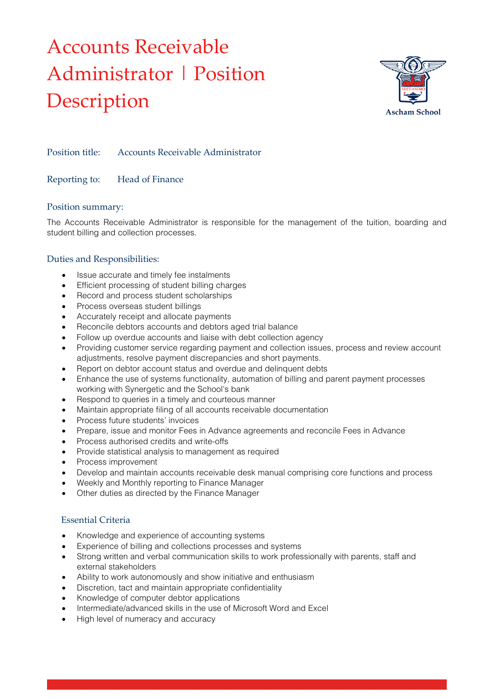# Accounts Receivable Administrator | Position Description



Position title: Accounts Receivable Administrator

# Reporting to: Head of Finance

#### Position summary:

The Accounts Receivable Administrator is responsible for the management of the tuition, boarding and student billing and collection processes.

#### Duties and Responsibilities:

- Issue accurate and timely fee instalments
- Efficient processing of student billing charges
- Record and process student scholarships
- Process overseas student billings
- Accurately receipt and allocate payments
- Reconcile debtors accounts and debtors aged trial balance
- Follow up overdue accounts and liaise with debt collection agency
- Providing customer service regarding payment and collection issues, process and review account adjustments, resolve payment discrepancies and short payments.
- Report on debtor account status and overdue and delinquent debts
- Enhance the use of systems functionality, automation of billing and parent payment processes working with Synergetic and the School's bank
- Respond to queries in a timely and courteous manner
- Maintain appropriate filing of all accounts receivable documentation
- Process future students' invoices
- Prepare, issue and monitor Fees in Advance agreements and reconcile Fees in Advance
- Process authorised credits and write-offs
- Provide statistical analysis to management as required
- Process improvement
- Develop and maintain accounts receivable desk manual comprising core functions and process
- Weekly and Monthly reporting to Finance Manager
- Other duties as directed by the Finance Manager

### Essential Criteria

- Knowledge and experience of accounting systems
- Experience of billing and collections processes and systems
- Strong written and verbal communication skills to work professionally with parents, staff and external stakeholders
- Ability to work autonomously and show initiative and enthusiasm
- Discretion, tact and maintain appropriate confidentiality
- Knowledge of computer debtor applications
- Intermediate/advanced skills in the use of Microsoft Word and Excel
- High level of numeracy and accuracy